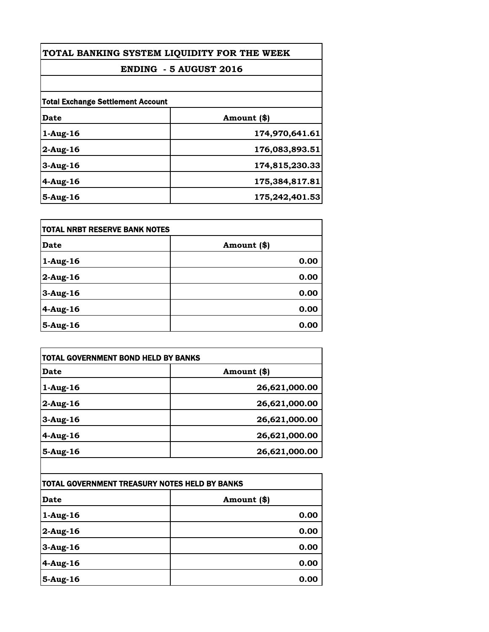| TOTAL BANKING SYSTEM LIQUIDITY FOR THE WEEK<br><b>ENDING - 5 AUGUST 2016</b> |                |
|------------------------------------------------------------------------------|----------------|
|                                                                              |                |
| <b>Total Exchange Settlement Account</b>                                     |                |
| Date                                                                         | Amount (\$)    |
| $1-Aug-16$                                                                   | 174,970,641.61 |
| $2$ -Aug-16                                                                  | 176,083,893.51 |
| $3$ -Aug-16                                                                  | 174,815,230.33 |
| $4$ -Aug-16                                                                  | 175,384,817.81 |
| $5-Aug-16$                                                                   | 175,242,401.53 |

| <b>TOTAL NRBT RESERVE BANK NOTES</b> |             |
|--------------------------------------|-------------|
| <b>Date</b>                          | Amount (\$) |
| $1-Aug-16$                           | 0.00        |
| $2$ -Aug-16                          | 0.00        |
| 3-Aug-16                             | 0.00        |
| $4-Aug-16$                           | 0.00        |
| $5-Aug-16$                           | 0.00        |

| TOTAL GOVERNMENT BOND HELD BY BANKS           |               |
|-----------------------------------------------|---------------|
| <b>Date</b>                                   | Amount (\$)   |
| 1-Aug-16                                      | 26,621,000.00 |
| $2$ -Aug-16                                   | 26,621,000.00 |
| 3-Aug-16                                      | 26,621,000.00 |
| $4$ -Aug-16                                   | 26,621,000.00 |
| 5-Aug-16                                      | 26,621,000.00 |
|                                               |               |
| TOTAL GOVERNMENT TREASURY NOTES HELD BY BANKS |               |
| <b>Date</b>                                   | Amount (\$)   |
| 1-Aug-16                                      | 0.00          |
| $2$ -Aug-16                                   | 0.00          |
| 3-Aug-16                                      | 0.00          |
| 4-Aug-16                                      | 0.00          |

**5-Aug-16 0.00**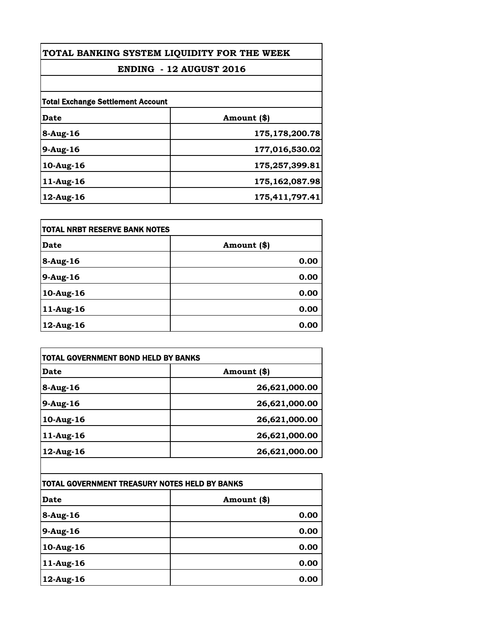| TOTAL BANKING SYSTEM LIQUIDITY FOR THE WEEK |                   |
|---------------------------------------------|-------------------|
| <b>ENDING - 12 AUGUST 2016</b>              |                   |
|                                             |                   |
| <b>Total Exchange Settlement Account</b>    |                   |
| Date                                        | Amount (\$)       |
| 8-Aug-16                                    | 175,178,200.78    |
| 9-Aug-16                                    | 177,016,530.02    |
| 10-Aug-16                                   | 175,257,399.81    |
| 11-Aug-16                                   | 175, 162, 087. 98 |
| 12-Aug-16                                   | 175,411,797.41    |

| itotal NRBT RESERVE BANK NOTES |             |
|--------------------------------|-------------|
| Date                           | Amount (\$) |
| $8-Aug-16$                     | 0.00        |
| 9-Aug-16                       | 0.00        |
| 10-Aug-16                      | 0.00        |
| 11-Aug-16                      | 0.00        |
| 12-Aug-16                      | 0.00        |

| TOTAL GOVERNMENT BOND HELD BY BANKS           |               |
|-----------------------------------------------|---------------|
| <b>Date</b>                                   | Amount (\$)   |
| 8-Aug-16                                      | 26,621,000.00 |
| 9-Aug-16                                      | 26,621,000.00 |
| $10$ -Aug-16                                  | 26,621,000.00 |
| 11-Aug-16                                     | 26,621,000.00 |
| 12-Aug-16                                     | 26,621,000.00 |
|                                               |               |
| TOTAL GOVERNMENT TREASURY NOTES HELD BY BANKS |               |
| Date                                          | Amount (\$)   |
| 8-Aug-16                                      | 0.00          |
| 9-Aug-16                                      | 0.00          |

| 8-Aug-16  | <b>0.00</b> |
|-----------|-------------|
| 9-Aug-16  | 0.00        |
| 10-Aug-16 | 0.00        |
| 11-Aug-16 | 0.00        |
| 12-Aug-16 | 0.00        |

1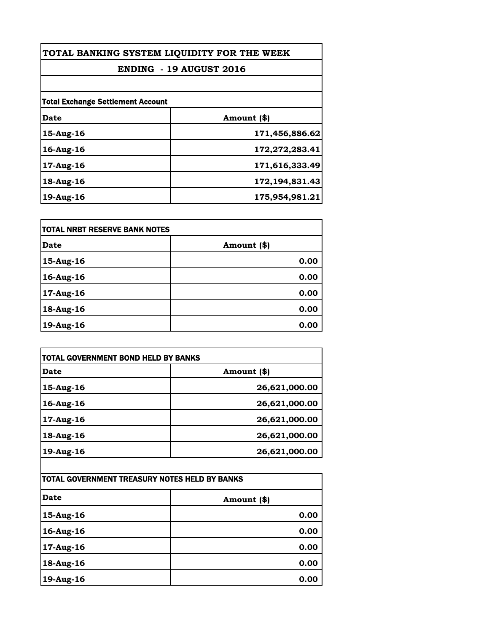| TOTAL BANKING SYSTEM LIQUIDITY FOR THE WEEK |                   |
|---------------------------------------------|-------------------|
| <b>ENDING - 19 AUGUST 2016</b>              |                   |
|                                             |                   |
| <b>Total Exchange Settlement Account</b>    |                   |
| Date                                        | Amount (\$)       |
| 15-Aug-16                                   | 171,456,886.62    |
| 16-Aug-16                                   | 172,272,283.41    |
| 17-Aug-16                                   | 171,616,333.49    |
| 18-Aug-16                                   | 172, 194, 831. 43 |
| 19-Aug-16                                   | 175,954,981.21    |

| itotal NRBT RESERVE BANK NOTES |             |
|--------------------------------|-------------|
| <b>Date</b>                    | Amount (\$) |
| $15$ -Aug-16                   | 0.00        |
| 16-Aug-16                      | 0.00        |
| 17-Aug-16                      | 0.00        |
| 18-Aug-16                      | 0.00        |
| 19-Aug-16                      | 0.00        |

| Date      | Amount (\$)   |
|-----------|---------------|
| 15-Aug-16 | 26,621,000.00 |
| 16-Aug-16 | 26,621,000.00 |
| 17-Aug-16 | 26,621,000.00 |
| 18-Aug-16 | 26,621,000.00 |
| 19-Aug-16 | 26,621,000.00 |
|           |               |

| <b>Date</b> | Amount (\$) |
|-------------|-------------|
| 15-Aug-16   | 0.00        |
| 16-Aug-16   | 0.00        |
| 17-Aug-16   | 0.00        |
| 18-Aug-16   | 0.00        |
| 19-Aug-16   | 0.00        |